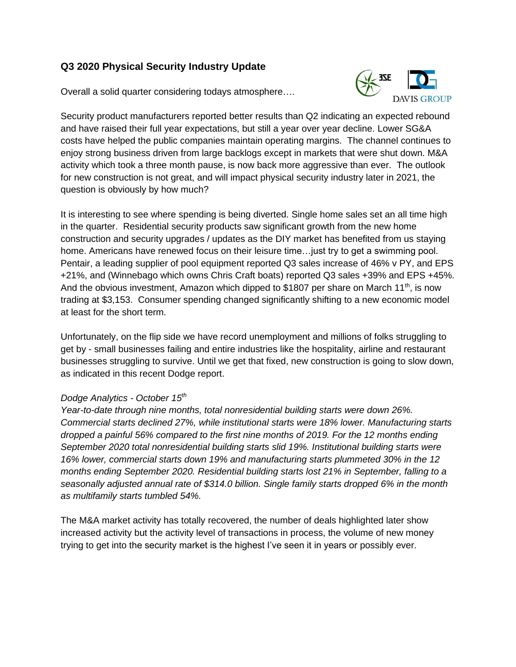# **Q3 2020 Physical Security Industry Update**

Overall a solid quarter considering todays atmosphere….



Security product manufacturers reported better results than Q2 indicating an expected rebound and have raised their full year expectations, but still a year over year decline. Lower SG&A costs have helped the public companies maintain operating margins. The channel continues to enjoy strong business driven from large backlogs except in markets that were shut down. M&A activity which took a three month pause, is now back more aggressive than ever. The outlook for new construction is not great, and will impact physical security industry later in 2021, the question is obviously by how much?

It is interesting to see where spending is being diverted. Single home sales set an all time high in the quarter. Residential security products saw significant growth from the new home construction and security upgrades / updates as the DIY market has benefited from us staying home. Americans have renewed focus on their leisure time…just try to get a swimming pool. Pentair, a leading supplier of pool equipment reported Q3 sales increase of 46% v PY, and EPS +21%, and (Winnebago which owns Chris Craft boats) reported Q3 sales +39% and EPS +45%. And the obvious investment, Amazon which dipped to \$1807 per share on March 11<sup>th</sup>, is now trading at \$3,153. Consumer spending changed significantly shifting to a new economic model at least for the short term.

Unfortunately, on the flip side we have record unemployment and millions of folks struggling to get by - small businesses failing and entire industries like the hospitality, airline and restaurant businesses struggling to survive. Until we get that fixed, new construction is going to slow down, as indicated in this recent Dodge report.

## *Dodge Analytics - October 15th*

*Year-to-date through nine months, total nonresidential building starts were down 26%. Commercial starts declined 27%, while institutional starts were 18% lower. Manufacturing starts dropped a painful 56% compared to the first nine months of 2019. For the 12 months ending September 2020 total nonresidential building starts slid 19%. Institutional building starts were 16% lower, commercial starts down 19% and manufacturing starts plummeted 30% in the 12 months ending September 2020. Residential building starts lost 21% in September, falling to a seasonally adjusted annual rate of \$314.0 billion. Single family starts dropped 6% in the month as multifamily starts tumbled 54%.*

The M&A market activity has totally recovered, the number of deals highlighted later show increased activity but the activity level of transactions in process, the volume of new money trying to get into the security market is the highest I've seen it in years or possibly ever.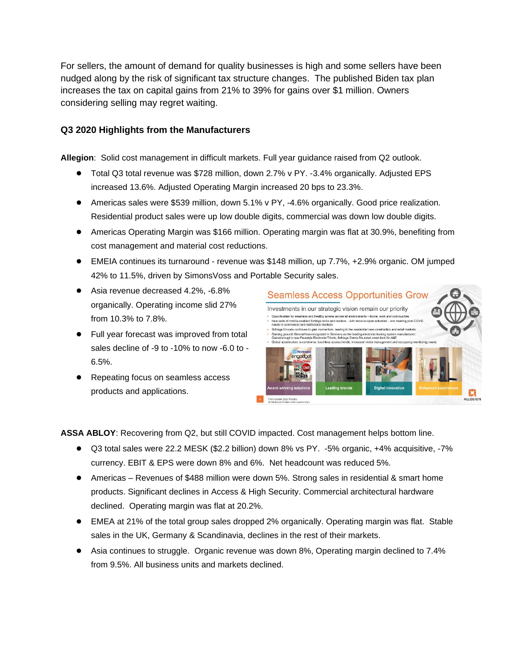For sellers, the amount of demand for quality businesses is high and some sellers have been nudged along by the risk of significant tax structure changes. The published Biden tax plan increases the tax on capital gains from 21% to 39% for gains over \$1 million. Owners considering selling may regret waiting.

## **Q3 2020 Highlights from the Manufacturers**

**Allegion**: Solid cost management in difficult markets. Full year guidance raised from Q2 outlook.

- Total Q3 total revenue was \$728 million, down 2.7% v PY. -3.4% organically. Adjusted EPS increased 13.6%. Adjusted Operating Margin increased 20 bps to 23.3%.
- Americas sales were \$539 million, down 5.1% v PY, -4.6% organically. Good price realization. Residential product sales were up low double digits, commercial was down low double digits.
- Americas Operating Margin was \$166 million. Operating margin was flat at 30.9%, benefiting from cost management and material cost reductions.
- EMEIA continues its turnaround revenue was \$148 million, up 7.7%, +2.9% organic. OM jumped 42% to 11.5%, driven by SimonsVoss and Portable Security sales.
- Asia revenue decreased 4.2%, -6.8% organically. Operating income slid 27% from 10.3% to 7.8%.
- Full year forecast was improved from total sales decline of -9 to -10% to now -6.0 to - 6.5%.
- Repeating focus on seamless access products and applications.



**ASSA ABLOY**: Recovering from Q2, but still COVID impacted. Cost management helps bottom line.

- Q3 total sales were 22.2 MESK (\$2.2 billion) down 8% vs PY. -5% organic, +4% acquisitive, -7% currency. EBIT & EPS were down 8% and 6%. Net headcount was reduced 5%.
- Americas Revenues of \$488 million were down 5%. Strong sales in residential & smart home products. Significant declines in Access & High Security. Commercial architectural hardware declined. Operating margin was flat at 20.2%.
- EMEA at 21% of the total group sales dropped 2% organically. Operating margin was flat. Stable sales in the UK, Germany & Scandinavia, declines in the rest of their markets.
- Asia continues to struggle. Organic revenue was down 8%, Operating margin declined to 7.4% from 9.5%. All business units and markets declined.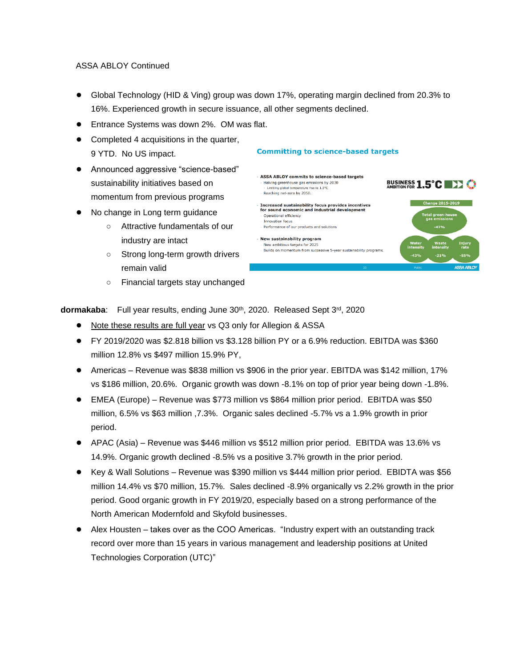### ASSA ABLOY Continued

- Global Technology (HID & Ving) group was down 17%, operating margin declined from 20.3% to 16%. Experienced growth in secure issuance, all other segments declined.
- Entrance Systems was down 2%. OM was flat.
- Completed 4 acquisitions in the quarter, 9 YTD. No US impact.
- Announced aggressive "science-based" sustainability initiatives based on momentum from previous programs
- No change in Long term guidance
	- Attractive fundamentals of our industry are intact
	- Strong long-term growth drivers remain valid
	- Financial targets stay unchanged

#### **ASSA ABLOY commits to science-based targets BUSINESS 1.5°C DEX CO** Halving greenhouse gas emissions by 2030 Limiting global temperature rise to 1.5°C Reaching net-zero by 2050. **Change 2015-2019** Increased sustainability focus provides incentives<br>for sound economic and industrial development Operational efficiency tal green-hou<br>gas emissions Innovation focus Performance of our products and solutions · New sustainability program New ambitious targets for 2025 Builds on momentum from successive 5-year sustainability programs

**Committing to science-based targets** 

dormakaba: Full year results, ending June 30<sup>th</sup>, 2020. Released Sept 3<sup>rd</sup>, 2020

- Note these results are full year vs Q3 only for Allegion & ASSA
- FY 2019/2020 was \$2.818 billion vs \$3.128 billion PY or a 6.9% reduction. EBITDA was \$360 million 12.8% vs \$497 million 15.9% PY,
- Americas Revenue was \$838 million vs \$906 in the prior year. EBITDA was \$142 million, 17% vs \$186 million, 20.6%. Organic growth was down -8.1% on top of prior year being down -1.8%.
- EMEA (Europe) Revenue was \$773 million vs \$864 million prior period. EBITDA was \$50 million, 6.5% vs \$63 million ,7.3%. Organic sales declined -5.7% vs a 1.9% growth in prior period.
- APAC (Asia) Revenue was \$446 million vs \$512 million prior period. EBITDA was 13.6% vs 14.9%. Organic growth declined -8.5% vs a positive 3.7% growth in the prior period.
- Key & Wall Solutions Revenue was \$390 million vs \$444 million prior period. EBIDTA was \$56 million 14.4% vs \$70 million, 15.7%. Sales declined -8.9% organically vs 2.2% growth in the prior period. Good organic growth in FY 2019/20, especially based on a strong performance of the North American Modernfold and Skyfold businesses.
- Alex Housten takes over as the COO Americas. "Industry expert with an outstanding track record over more than 15 years in various management and leadership positions at United Technologies Corporation (UTC)"